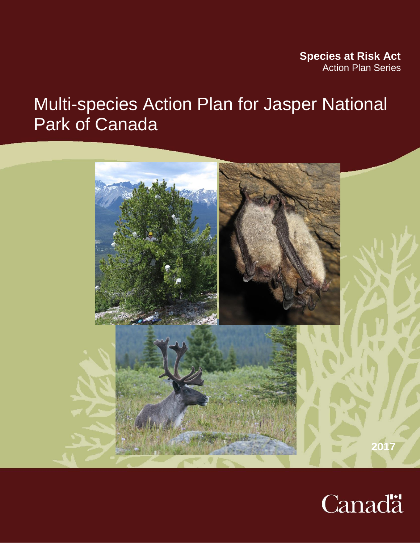### **Species at Risk Act** Action Plan Series

# Multi-species Action Plan for Jasper National Park of Canada



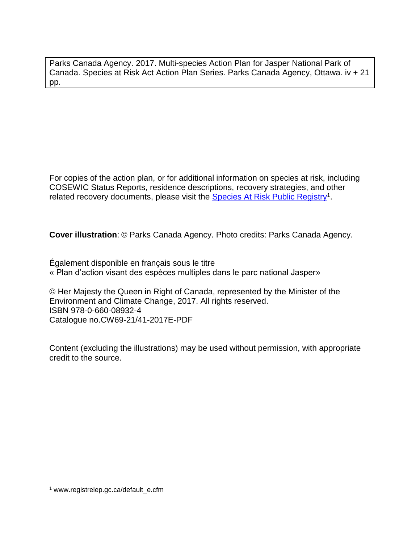Parks Canada Agency. 2017. Multi-species Action Plan for Jasper National Park of Canada. Species at Risk Act Action Plan Series. Parks Canada Agency, Ottawa. iv + 21 pp.

For copies of the action plan, or for additional information on species at risk, including COSEWIC Status Reports, residence descriptions, recovery strategies, and other related recovery documents, please visit the **Species At Risk [Public Registry](http://www.registrelep.gc.ca/default_e.cfm)**<sup>1</sup>.

**Cover illustration**: © Parks Canada Agency. Photo credits: Parks Canada Agency.

Également disponible en français sous le titre « Plan d'action visant des espèces multiples dans le parc national Jasper»

© Her Majesty the Queen in Right of Canada, represented by the Minister of the Environment and Climate Change, 2017. All rights reserved. ISBN 978-0-660-08932-4 Catalogue no.CW69-21/41-2017E-PDF

Content (excluding the illustrations) may be used without permission, with appropriate credit to the source.

 $\overline{a}$ 

<sup>1</sup> www.registrelep.gc.ca/default\_e.cfm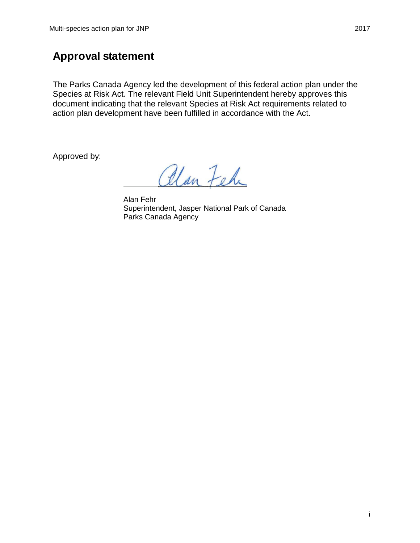### **Approval statement**

The Parks Canada Agency led the development of this federal action plan under the Species at Risk Act. The relevant Field Unit Superintendent hereby approves this document indicating that the relevant Species at Risk Act requirements related to action plan development have been fulfilled in accordance with the Act.

Approved by:

alan Feh

Alan Fehr Superintendent, Jasper National Park of Canada Parks Canada Agency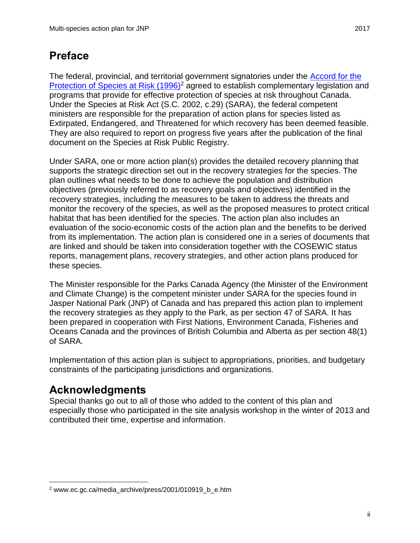# <span id="page-3-0"></span>**Preface**

The federal, provincial, and territorial government signatories under the [Accord for the](http://www.ec.gc.ca/media_archive/press/2001/010919_b_e.htm)  [Protection of Species at Risk \(1996\)](http://www.ec.gc.ca/media_archive/press/2001/010919_b_e.htm)<sup>2</sup> agreed to establish complementary legislation and programs that provide for effective protection of species at risk throughout Canada. Under the Species at Risk Act (S.C. 2002, c.29) (SARA), the federal competent ministers are responsible for the preparation of action plans for species listed as Extirpated, Endangered, and Threatened for which recovery has been deemed feasible. They are also required to report on progress five years after the publication of the final document on the Species at Risk Public Registry.

Under SARA, one or more action plan(s) provides the detailed recovery planning that supports the strategic direction set out in the recovery strategies for the species. The plan outlines what needs to be done to achieve the population and distribution objectives (previously referred to as recovery goals and objectives) identified in the recovery strategies, including the measures to be taken to address the threats and monitor the recovery of the species, as well as the proposed measures to protect critical habitat that has been identified for the species. The action plan also includes an evaluation of the socio-economic costs of the action plan and the benefits to be derived from its implementation. The action plan is considered one in a series of documents that are linked and should be taken into consideration together with the COSEWIC status reports, management plans, recovery strategies, and other action plans produced for these species.

The Minister responsible for the Parks Canada Agency (the Minister of the Environment and Climate Change) is the competent minister under SARA for the species found in Jasper National Park (JNP) of Canada and has prepared this action plan to implement the recovery strategies as they apply to the Park, as per section 47 of SARA. It has been prepared in cooperation with First Nations, Environment Canada, Fisheries and Oceans Canada and the provinces of British Columbia and Alberta as per section 48(1) of SARA.

Implementation of this action plan is subject to appropriations, priorities, and budgetary constraints of the participating jurisdictions and organizations.

# <span id="page-3-1"></span>**Acknowledgments**

 $\overline{a}$ 

Special thanks go out to all of those who added to the content of this plan and especially those who participated in the site analysis workshop in the winter of 2013 and contributed their time, expertise and information.

<sup>2</sup> www.ec.gc.ca/media\_archive/press/2001/010919\_b\_e.htm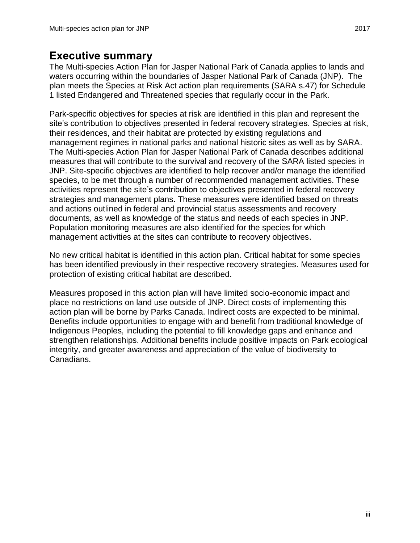### <span id="page-4-0"></span>**Executive summary**

The Multi-species Action Plan for Jasper National Park of Canada applies to lands and waters occurring within the boundaries of Jasper National Park of Canada (JNP). The plan meets the Species at Risk Act action plan requirements (SARA s.47) for Schedule 1 listed Endangered and Threatened species that regularly occur in the Park.

Park-specific objectives for species at risk are identified in this plan and represent the site's contribution to objectives presented in federal recovery strategies. Species at risk, their residences, and their habitat are protected by existing regulations and management regimes in national parks and national historic sites as well as by SARA. The Multi-species Action Plan for Jasper National Park of Canada describes additional measures that will contribute to the survival and recovery of the SARA listed species in JNP. Site-specific objectives are identified to help recover and/or manage the identified species, to be met through a number of recommended management activities. These activities represent the site's contribution to objectives presented in federal recovery strategies and management plans. These measures were identified based on threats and actions outlined in federal and provincial status assessments and recovery documents, as well as knowledge of the status and needs of each species in JNP. Population monitoring measures are also identified for the species for which management activities at the sites can contribute to recovery objectives.

No new critical habitat is identified in this action plan. Critical habitat for some species has been identified previously in their respective recovery strategies. Measures used for protection of existing critical habitat are described.

Measures proposed in this action plan will have limited socio-economic impact and place no restrictions on land use outside of JNP. Direct costs of implementing this action plan will be borne by Parks Canada. Indirect costs are expected to be minimal. Benefits include opportunities to engage with and benefit from traditional knowledge of Indigenous Peoples, including the potential to fill knowledge gaps and enhance and strengthen relationships. Additional benefits include positive impacts on Park ecological integrity, and greater awareness and appreciation of the value of biodiversity to Canadians.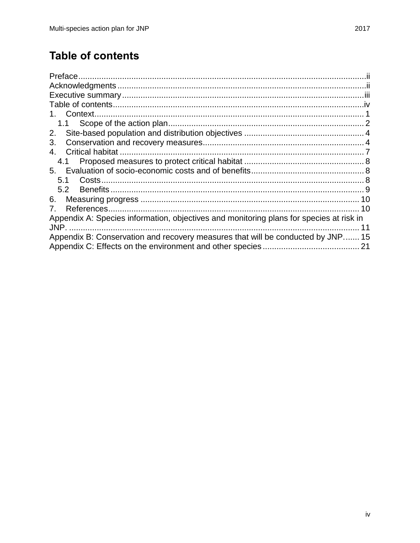# <span id="page-5-0"></span>**Table of contents**

| 1. Context.                                                                             |    |
|-----------------------------------------------------------------------------------------|----|
|                                                                                         |    |
| 2.                                                                                      |    |
| 3.                                                                                      |    |
| 4.                                                                                      |    |
| 4.1                                                                                     |    |
|                                                                                         |    |
| 5.1                                                                                     |    |
| $5.2^{\circ}$                                                                           |    |
| 6.                                                                                      | 10 |
| $7_{-}$                                                                                 |    |
| Appendix A: Species information, objectives and monitoring plans for species at risk in |    |
|                                                                                         | 11 |
| Appendix B: Conservation and recovery measures that will be conducted by JNP 15         |    |
|                                                                                         |    |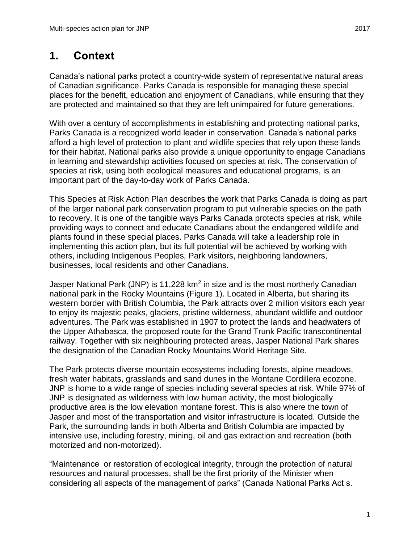# <span id="page-6-0"></span>**1. Context**

Canada's national parks protect a country-wide system of representative natural areas of Canadian significance. Parks Canada is responsible for managing these special places for the benefit, education and enjoyment of Canadians, while ensuring that they are protected and maintained so that they are left unimpaired for future generations.

With over a century of accomplishments in establishing and protecting national parks, Parks Canada is a recognized world leader in conservation. Canada's national parks afford a high level of protection to plant and wildlife species that rely upon these lands for their habitat. National parks also provide a unique opportunity to engage Canadians in learning and stewardship activities focused on species at risk. The conservation of species at risk, using both ecological measures and educational programs, is an important part of the day-to-day work of Parks Canada.

This Species at Risk Action Plan describes the work that Parks Canada is doing as part of the larger national park conservation program to put vulnerable species on the path to recovery. It is one of the tangible ways Parks Canada protects species at risk, while providing ways to connect and educate Canadians about the endangered wildlife and plants found in these special places. Parks Canada will take a leadership role in implementing this action plan, but its full potential will be achieved by working with others, including Indigenous Peoples, Park visitors, neighboring landowners, businesses, local residents and other Canadians.

Jasper National Park (JNP) is 11,228  $km^2$  in size and is the most northerly Canadian national park in the Rocky Mountains (Figure 1). Located in Alberta, but sharing its western border with British Columbia, the Park attracts over 2 million visitors each year to enjoy its majestic peaks, glaciers, pristine wilderness, abundant wildlife and outdoor adventures. The Park was established in 1907 to protect the lands and headwaters of the Upper Athabasca, the proposed route for the Grand Trunk Pacific transcontinental railway. Together with six neighbouring protected areas, Jasper National Park shares the designation of the Canadian Rocky Mountains World Heritage Site.

The Park protects diverse mountain ecosystems including forests, alpine meadows, fresh water habitats, grasslands and sand dunes in the Montane Cordillera ecozone. JNP is home to a wide range of species including several species at risk. While 97% of JNP is designated as wilderness with low human activity, the most biologically productive area is the low elevation montane forest. This is also where the town of Jasper and most of the transportation and visitor infrastructure is located. Outside the Park, the surrounding lands in both Alberta and British Columbia are impacted by intensive use, including forestry, mining, oil and gas extraction and recreation (both motorized and non-motorized).

"Maintenance or restoration of ecological integrity, through the protection of natural resources and natural processes, shall be the first priority of the Minister when considering all aspects of the management of parks" (Canada National Parks Act s.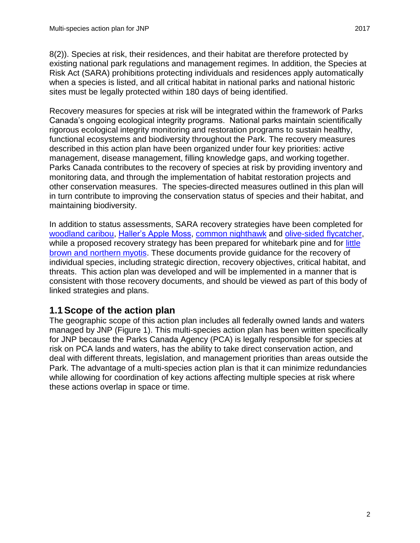8(2)). Species at risk, their residences, and their habitat are therefore protected by existing national park regulations and management regimes. In addition, the Species at Risk Act (SARA) prohibitions protecting individuals and residences apply automatically when a species is listed, and all critical habitat in national parks and national historic sites must be legally protected within 180 days of being identified.

Recovery measures for species at risk will be integrated within the framework of Parks Canada's ongoing ecological integrity programs. National parks maintain scientifically rigorous ecological integrity monitoring and restoration programs to sustain healthy, functional ecosystems and biodiversity throughout the Park. The recovery measures described in this action plan have been organized under four key priorities: active management, disease management, filling knowledge gaps, and working together. Parks Canada contributes to the recovery of species at risk by providing inventory and monitoring data, and through the implementation of habitat restoration projects and other conservation measures. The species-directed measures outlined in this plan will in turn contribute to improving the conservation status of species and their habitat, and maintaining biodiversity.

In addition to status assessments, SARA recovery strategies have been completed for [woodland caribou,](http://www.sararegistry.gc.ca/virtual_sara/files/plans/rs_woodland%20caribou_bois_s_mtn_0614_e.pdf) [Haller's Apple Moss,](http://www.sararegistry.gc.ca/virtual_sara/files/plans/rs_hallers_apple_moss_1010_e.pdf) [common nighthawk](http://www.sararegistry.gc.ca/virtual_sara/files/plans/rs_common%20nighthawk_e_final.pdf) and [olive-sided flycatcher,](http://www.sararegistry.gc.ca/virtual_sara/files/plans/rs_olive-sided%20flycatcher_e_final.pdf) while a proposed recovery strategy has been prepared for whitebark pine and for little [brown and northern myotis.](http://www.sararegistry.gc.ca/virtual_sara/files/plans/rs_LittleBrownMyotisNorthernMyotisTricoloredBat_e_proposed.pdf) These documents provide guidance for the recovery of individual species, including strategic direction, recovery objectives, critical habitat, and threats. This action plan was developed and will be implemented in a manner that is consistent with those recovery documents, and should be viewed as part of this body of linked strategies and plans.

### <span id="page-7-0"></span>**1.1Scope of the action plan**

The geographic scope of this action plan includes all federally owned lands and waters managed by JNP (Figure 1). This multi-species action plan has been written specifically for JNP because the Parks Canada Agency (PCA) is legally responsible for species at risk on PCA lands and waters, has the ability to take direct conservation action, and deal with different threats, legislation, and management priorities than areas outside the Park. The advantage of a multi-species action plan is that it can minimize redundancies while allowing for coordination of key actions affecting multiple species at risk where these actions overlap in space or time.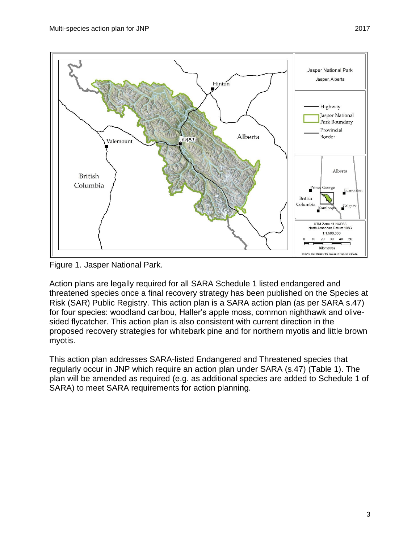

Figure 1. Jasper National Park.

Action plans are legally required for all SARA Schedule 1 listed endangered and threatened species once a final recovery strategy has been published on the Species at Risk (SAR) Public Registry. This action plan is a SARA action plan (as per SARA s.47) for four species: woodland caribou, Haller's apple moss, common nighthawk and olivesided flycatcher. This action plan is also consistent with current direction in the proposed recovery strategies for whitebark pine and for northern myotis and little brown myotis.

This action plan addresses SARA-listed Endangered and Threatened species that regularly occur in JNP which require an action plan under SARA (s.47) (Table 1). The plan will be amended as required (e.g. as additional species are added to Schedule 1 of SARA) to meet SARA requirements for action planning.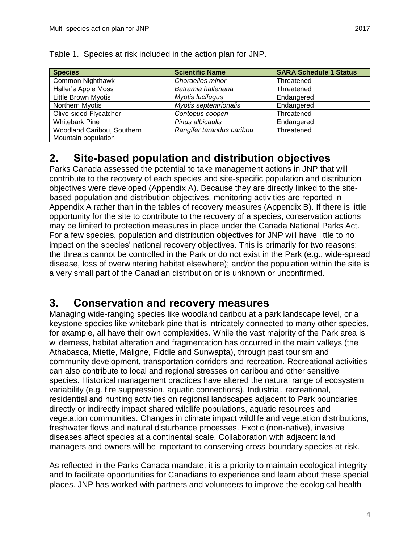| <b>Species</b>             | <b>Scientific Name</b>    | <b>SARA Schedule 1 Status</b> |
|----------------------------|---------------------------|-------------------------------|
| Common Nighthawk           | Chordeiles minor          | Threatened                    |
| Haller's Apple Moss        | Batramia halleriana       | Threatened                    |
| <b>Little Brown Myotis</b> | Myotis lucifugus          | Endangered                    |
| <b>Northern Myotis</b>     | Myotis septentrionalis    | Endangered                    |
| Olive-sided Flycatcher     | Contopus cooperi          | Threatened                    |
| <b>Whitebark Pine</b>      | Pinus albicaulis          | Endangered                    |
| Woodland Caribou, Southern | Rangifer tarandus caribou | Threatened                    |
| Mountain population        |                           |                               |

Table 1. Species at risk included in the action plan for JNP.

### <span id="page-9-0"></span>**2. Site-based population and distribution objectives**

Parks Canada assessed the potential to take management actions in JNP that will contribute to the recovery of each species and site-specific population and distribution objectives were developed (Appendix A). Because they are directly linked to the sitebased population and distribution objectives, monitoring activities are reported in Appendix A rather than in the tables of recovery measures (Appendix B). If there is little opportunity for the site to contribute to the recovery of a species, conservation actions may be limited to protection measures in place under the Canada National Parks Act. For a few species, population and distribution objectives for JNP will have little to no impact on the species' national recovery objectives. This is primarily for two reasons: the threats cannot be controlled in the Park or do not exist in the Park (e.g., wide-spread disease, loss of overwintering habitat elsewhere); and/or the population within the site is a very small part of the Canadian distribution or is unknown or unconfirmed.

### <span id="page-9-1"></span>**3. Conservation and recovery measures**

Managing wide-ranging species like woodland caribou at a park landscape level, or a keystone species like whitebark pine that is intricately connected to many other species, for example, all have their own complexities. While the vast majority of the Park area is wilderness, habitat alteration and fragmentation has occurred in the main valleys (the Athabasca, Miette, Maligne, Fiddle and Sunwapta), through past tourism and community development, transportation corridors and recreation. Recreational activities can also contribute to local and regional stresses on caribou and other sensitive species. Historical management practices have altered the natural range of ecosystem variability (e.g. fire suppression, aquatic connections). Industrial, recreational, residential and hunting activities on regional landscapes adjacent to Park boundaries directly or indirectly impact shared wildlife populations, aquatic resources and vegetation communities. Changes in climate impact wildlife and vegetation distributions, freshwater flows and natural disturbance processes. Exotic (non-native), invasive diseases affect species at a continental scale. Collaboration with adjacent land managers and owners will be important to conserving cross-boundary species at risk.

As reflected in the Parks Canada mandate, it is a priority to maintain ecological integrity and to facilitate opportunities for Canadians to experience and learn about these special places. JNP has worked with partners and volunteers to improve the ecological health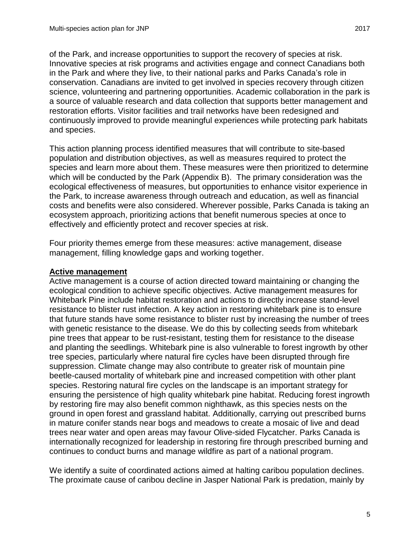of the Park, and increase opportunities to support the recovery of species at risk. Innovative species at risk programs and activities engage and connect Canadians both in the Park and where they live, to their national parks and Parks Canada's role in conservation. Canadians are invited to get involved in species recovery through citizen science, volunteering and partnering opportunities. Academic collaboration in the park is a source of valuable research and data collection that supports better management and restoration efforts. Visitor facilities and trail networks have been redesigned and continuously improved to provide meaningful experiences while protecting park habitats and species.

This action planning process identified measures that will contribute to site-based population and distribution objectives, as well as measures required to protect the species and learn more about them. These measures were then prioritized to determine which will be conducted by the Park (Appendix B). The primary consideration was the ecological effectiveness of measures, but opportunities to enhance visitor experience in the Park, to increase awareness through outreach and education, as well as financial costs and benefits were also considered. Wherever possible, Parks Canada is taking an ecosystem approach, prioritizing actions that benefit numerous species at once to effectively and efficiently protect and recover species at risk.

Four priority themes emerge from these measures: active management, disease management, filling knowledge gaps and working together.

#### **Active management**

Active management is a course of action directed toward maintaining or changing the ecological condition to achieve specific objectives. Active management measures for Whitebark Pine include habitat restoration and actions to directly increase stand-level resistance to blister rust infection. A key action in restoring whitebark pine is to ensure that future stands have some resistance to blister rust by increasing the number of trees with genetic resistance to the disease. We do this by collecting seeds from whitebark pine trees that appear to be rust-resistant, testing them for resistance to the disease and planting the seedlings. Whitebark pine is also vulnerable to forest ingrowth by other tree species, particularly where natural fire cycles have been disrupted through fire suppression. Climate change may also contribute to greater risk of mountain pine beetle-caused mortality of whitebark pine and increased competition with other plant species. Restoring natural fire cycles on the landscape is an important strategy for ensuring the persistence of high quality whitebark pine habitat. Reducing forest ingrowth by restoring fire may also benefit common nighthawk, as this species nests on the ground in open forest and grassland habitat. Additionally, carrying out prescribed burns in mature conifer stands near bogs and meadows to create a mosaic of live and dead trees near water and open areas may favour Olive-sided Flycatcher. Parks Canada is internationally recognized for leadership in restoring fire through prescribed burning and continues to conduct burns and manage wildfire as part of a national program.

We identify a suite of coordinated actions aimed at halting caribou population declines. The proximate cause of caribou decline in Jasper National Park is predation, mainly by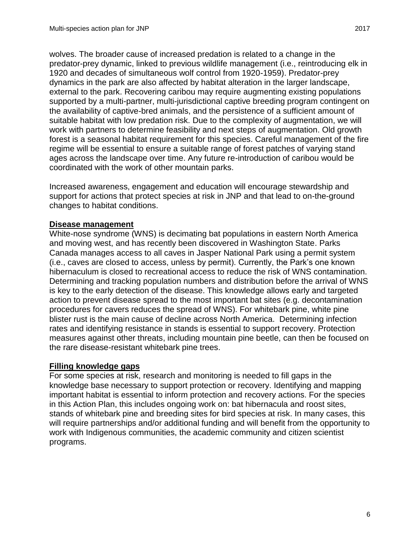wolves. The broader cause of increased predation is related to a change in the predator-prey dynamic, linked to previous wildlife management (i.e., reintroducing elk in 1920 and decades of simultaneous wolf control from 1920-1959). Predator-prey dynamics in the park are also affected by habitat alteration in the larger landscape, external to the park. Recovering caribou may require augmenting existing populations supported by a multi-partner, multi-jurisdictional captive breeding program contingent on the availability of captive-bred animals, and the persistence of a sufficient amount of suitable habitat with low predation risk. Due to the complexity of augmentation, we will work with partners to determine feasibility and next steps of augmentation. Old growth forest is a seasonal habitat requirement for this species. Careful management of the fire regime will be essential to ensure a suitable range of forest patches of varying stand ages across the landscape over time. Any future re-introduction of caribou would be coordinated with the work of other mountain parks.

Increased awareness, engagement and education will encourage stewardship and support for actions that protect species at risk in JNP and that lead to on-the-ground changes to habitat conditions.

#### **Disease management**

White-nose syndrome (WNS) is decimating bat populations in eastern North America and moving west, and has recently been discovered in Washington State. Parks Canada manages access to all caves in Jasper National Park using a permit system (i.e., caves are closed to access, unless by permit). Currently, the Park's one known hibernaculum is closed to recreational access to reduce the risk of WNS contamination. Determining and tracking population numbers and distribution before the arrival of WNS is key to the early detection of the disease. This knowledge allows early and targeted action to prevent disease spread to the most important bat sites (e.g. decontamination procedures for cavers reduces the spread of WNS). For whitebark pine, white pine blister rust is the main cause of decline across North America. Determining infection rates and identifying resistance in stands is essential to support recovery. Protection measures against other threats, including mountain pine beetle, can then be focused on the rare disease-resistant whitebark pine trees.

#### **Filling knowledge gaps**

For some species at risk, research and monitoring is needed to fill gaps in the knowledge base necessary to support protection or recovery. Identifying and mapping important habitat is essential to inform protection and recovery actions. For the species in this Action Plan, this includes ongoing work on: bat hibernacula and roost sites, stands of whitebark pine and breeding sites for bird species at risk. In many cases, this will require partnerships and/or additional funding and will benefit from the opportunity to work with Indigenous communities, the academic community and citizen scientist programs.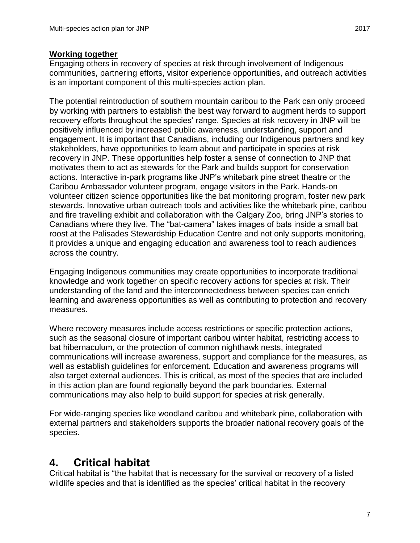#### **Working together**

Engaging others in recovery of species at risk through involvement of Indigenous communities, partnering efforts, visitor experience opportunities, and outreach activities is an important component of this multi-species action plan.

The potential reintroduction of southern mountain caribou to the Park can only proceed by working with partners to establish the best way forward to augment herds to support recovery efforts throughout the species' range. Species at risk recovery in JNP will be positively influenced by increased public awareness, understanding, support and engagement. It is important that Canadians, including our Indigenous partners and key stakeholders, have opportunities to learn about and participate in species at risk recovery in JNP. These opportunities help foster a sense of connection to JNP that motivates them to act as stewards for the Park and builds support for conservation actions. Interactive in-park programs like JNP's whitebark pine street theatre or the Caribou Ambassador volunteer program, engage visitors in the Park. Hands-on volunteer citizen science opportunities like the bat monitoring program, foster new park stewards. Innovative urban outreach tools and activities like the whitebark pine, caribou and fire travelling exhibit and collaboration with the Calgary Zoo, bring JNP's stories to Canadians where they live. The "bat-camera" takes images of bats inside a small bat roost at the Palisades Stewardship Education Centre and not only supports monitoring, it provides a unique and engaging education and awareness tool to reach audiences across the country.

Engaging Indigenous communities may create opportunities to incorporate traditional knowledge and work together on specific recovery actions for species at risk. Their understanding of the land and the interconnectedness between species can enrich learning and awareness opportunities as well as contributing to protection and recovery measures.

Where recovery measures include access restrictions or specific protection actions, such as the seasonal closure of important caribou winter habitat, restricting access to bat hibernaculum, or the protection of common nighthawk nests, integrated communications will increase awareness, support and compliance for the measures, as well as establish guidelines for enforcement. Education and awareness programs will also target external audiences. This is critical, as most of the species that are included in this action plan are found regionally beyond the park boundaries. External communications may also help to build support for species at risk generally.

For wide-ranging species like woodland caribou and whitebark pine, collaboration with external partners and stakeholders supports the broader national recovery goals of the species.

### <span id="page-12-0"></span>**4. Critical habitat**

Critical habitat is "the habitat that is necessary for the survival or recovery of a listed wildlife species and that is identified as the species' critical habitat in the recovery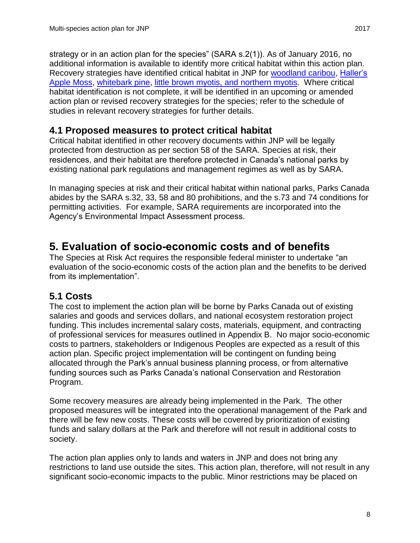strategy or in an action plan for the species" (SARA s.2(1)). As of January 2016, no additional information is available to identify more critical habitat within this action plan. Recovery strategies have identified critical habitat in JNP for [woodland caribou,](http://www.sararegistry.gc.ca/virtual_sara/files/plans/rs_woodland%20caribou_bois_s_mtn_0614_e.pdf) [Haller's](http://www.sararegistry.gc.ca/virtual_sara/files/plans/rs_hallers_apple_moss_1010_e.pdf)  [Apple Moss,](http://www.sararegistry.gc.ca/virtual_sara/files/plans/rs_hallers_apple_moss_1010_e.pdf) [whitebark pine,](http://www.sararegistry.gc.ca/virtual_sara/files/plans/rs_whitebark_pine_e_proposed.pdf) [little brown myotis, and northern myotis.](http://www.sararegistry.gc.ca/virtual_sara/files/plans/rs_LittleBrownMyotisNorthernMyotisTricoloredBat_e_proposed.pdf) Where critical habitat identification is not complete, it will be identified in an upcoming or amended action plan or revised recovery strategies for the species; refer to the schedule of studies in relevant recovery strategies for further details.

### <span id="page-13-0"></span>**4.1 Proposed measures to protect critical habitat**

Critical habitat identified in other recovery documents within JNP will be legally protected from destruction as per section 58 of the SARA. Species at risk, their residences, and their habitat are therefore protected in Canada's national parks by existing national park regulations and management regimes as well as by SARA.

In managing species at risk and their critical habitat within national parks, Parks Canada abides by the SARA s.32, 33, 58 and 80 prohibitions, and the s.73 and 74 conditions for permitting activities. For example, SARA requirements are incorporated into the Agency's Environmental Impact Assessment process.

### <span id="page-13-1"></span>**5. Evaluation of socio-economic costs and of benefits**

The Species at Risk Act requires the responsible federal minister to undertake "an evaluation of the socio-economic costs of the action plan and the benefits to be derived from its implementation".

### <span id="page-13-2"></span>**5.1 Costs**

The cost to implement the action plan will be borne by Parks Canada out of existing salaries and goods and services dollars, and national ecosystem restoration project funding. This includes incremental salary costs, materials, equipment, and contracting of professional services for measures outlined in Appendix B. No major socio-economic costs to partners, stakeholders or Indigenous Peoples are expected as a result of this action plan. Specific project implementation will be contingent on funding being allocated through the Park's annual business planning process, or from alternative funding sources such as Parks Canada's national Conservation and Restoration Program.

Some recovery measures are already being implemented in the Park. The other proposed measures will be integrated into the operational management of the Park and there will be few new costs. These costs will be covered by prioritization of existing funds and salary dollars at the Park and therefore will not result in additional costs to society.

The action plan applies only to lands and waters in JNP and does not bring any restrictions to land use outside the sites. This action plan, therefore, will not result in any significant socio-economic impacts to the public. Minor restrictions may be placed on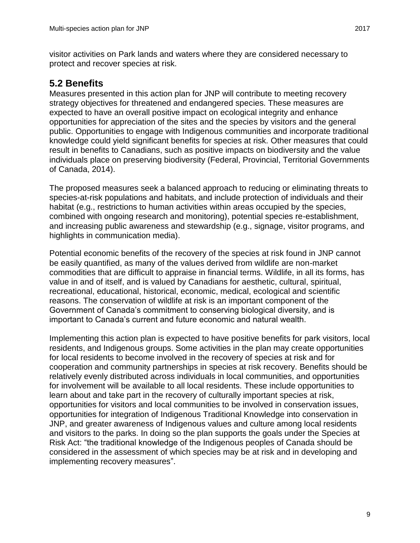visitor activities on Park lands and waters where they are considered necessary to protect and recover species at risk.

### <span id="page-14-0"></span>**5.2 Benefits**

Measures presented in this action plan for JNP will contribute to meeting recovery strategy objectives for threatened and endangered species. These measures are expected to have an overall positive impact on ecological integrity and enhance opportunities for appreciation of the sites and the species by visitors and the general public. Opportunities to engage with Indigenous communities and incorporate traditional knowledge could yield significant benefits for species at risk. Other measures that could result in benefits to Canadians, such as positive impacts on biodiversity and the value individuals place on preserving biodiversity (Federal, Provincial, Territorial Governments of Canada, 2014).

The proposed measures seek a balanced approach to reducing or eliminating threats to species-at-risk populations and habitats, and include protection of individuals and their habitat (e.g., restrictions to human activities within areas occupied by the species, combined with ongoing research and monitoring), potential species re-establishment, and increasing public awareness and stewardship (e.g., signage, visitor programs, and highlights in communication media).

Potential economic benefits of the recovery of the species at risk found in JNP cannot be easily quantified, as many of the values derived from wildlife are non-market commodities that are difficult to appraise in financial terms. Wildlife, in all its forms, has value in and of itself, and is valued by Canadians for aesthetic, cultural, spiritual, recreational, educational, historical, economic, medical, ecological and scientific reasons. The conservation of wildlife at risk is an important component of the Government of Canada's commitment to conserving biological diversity, and is important to Canada's current and future economic and natural wealth.

Implementing this action plan is expected to have positive benefits for park visitors, local residents, and Indigenous groups. Some activities in the plan may create opportunities for local residents to become involved in the recovery of species at risk and for cooperation and community partnerships in species at risk recovery. Benefits should be relatively evenly distributed across individuals in local communities, and opportunities for involvement will be available to all local residents. These include opportunities to learn about and take part in the recovery of culturally important species at risk, opportunities for visitors and local communities to be involved in conservation issues, opportunities for integration of Indigenous Traditional Knowledge into conservation in JNP, and greater awareness of Indigenous values and culture among local residents and visitors to the parks. In doing so the plan supports the goals under the Species at Risk Act: "the traditional knowledge of the Indigenous peoples of Canada should be considered in the assessment of which species may be at risk and in developing and implementing recovery measures".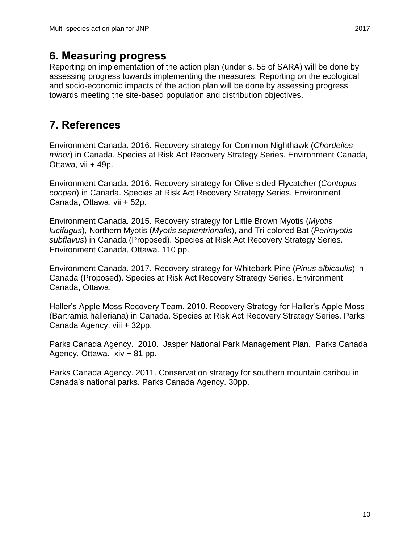### <span id="page-15-0"></span>**6. Measuring progress**

Reporting on implementation of the action plan (under s. 55 of SARA) will be done by assessing progress towards implementing the measures. Reporting on the ecological and socio-economic impacts of the action plan will be done by assessing progress towards meeting the site-based population and distribution objectives.

## <span id="page-15-1"></span>**7. References**

Environment Canada. 2016. Recovery strategy for Common Nighthawk (*Chordeiles minor*) in Canada. Species at Risk Act Recovery Strategy Series. Environment Canada, Ottawa, vii + 49p.

Environment Canada. 2016. Recovery strategy for Olive-sided Flycatcher (*Contopus cooperi*) in Canada. Species at Risk Act Recovery Strategy Series. Environment Canada, Ottawa, vii + 52p.

Environment Canada. 2015. Recovery strategy for Little Brown Myotis (*Myotis lucifugus*), Northern Myotis (*Myotis septentrionalis*), and Tri-colored Bat (*Perimyotis subflavus*) in Canada (Proposed). Species at Risk Act Recovery Strategy Series. Environment Canada, Ottawa. 110 pp.

Environment Canada. 2017. Recovery strategy for Whitebark Pine (*Pinus albicaulis*) in Canada (Proposed). Species at Risk Act Recovery Strategy Series. Environment Canada, Ottawa.

Haller's Apple Moss Recovery Team. 2010. Recovery Strategy for Haller's Apple Moss (Bartramia halleriana) in Canada. Species at Risk Act Recovery Strategy Series. Parks Canada Agency. viii + 32pp.

Parks Canada Agency. 2010. Jasper National Park Management Plan. Parks Canada Agency. Ottawa. xiv + 81 pp.

Parks Canada Agency. 2011. Conservation strategy for southern mountain caribou in Canada's national parks. Parks Canada Agency. 30pp.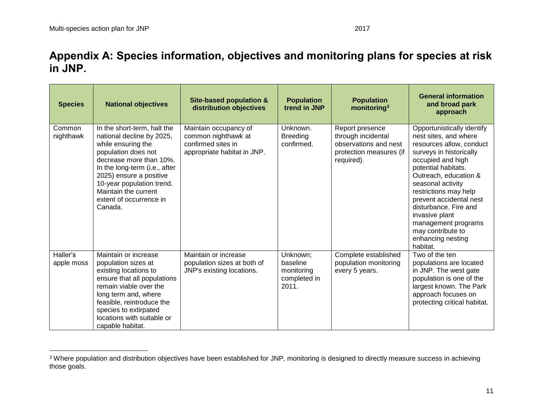1

### **Appendix A: Species information, objectives and monitoring plans for species at risk in JNP.**

<span id="page-16-0"></span>

| <b>Species</b>         | <b>National objectives</b>                                                                                                                                                                                                                                                              | <b>Site-based population &amp;</b><br>distribution objectives                                     | <b>Population</b><br>trend in JNP                           | <b>Population</b><br>monitoring <sup>3</sup>                                                            | <b>General information</b><br>and broad park<br>approach                                                                                                                                                                                                                                                                                                                         |
|------------------------|-----------------------------------------------------------------------------------------------------------------------------------------------------------------------------------------------------------------------------------------------------------------------------------------|---------------------------------------------------------------------------------------------------|-------------------------------------------------------------|---------------------------------------------------------------------------------------------------------|----------------------------------------------------------------------------------------------------------------------------------------------------------------------------------------------------------------------------------------------------------------------------------------------------------------------------------------------------------------------------------|
| Common<br>nighthawk    | In the short-term, halt the<br>national decline by 2025,<br>while ensuring the<br>population does not<br>decrease more than 10%.<br>In the long-term (i.e., after<br>2025) ensure a positive<br>10-year population trend.<br>Maintain the current<br>extent of occurrence in<br>Canada. | Maintain occupancy of<br>common nighthawk at<br>confirmed sites in<br>appropriate habitat in JNP. | Unknown.<br><b>Breeding</b><br>confirmed.                   | Report presence<br>through incidental<br>observations and nest<br>protection measures (if<br>required). | Opportunistically identify<br>nest sites, and where<br>resources allow, conduct<br>surveys in historically<br>occupied and high<br>potential habitats.<br>Outreach, education &<br>seasonal activity<br>restrictions may help<br>prevent accidental nest<br>disturbance. Fire and<br>invasive plant<br>management programs<br>may contribute to<br>enhancing nesting<br>habitat. |
| Haller's<br>apple moss | Maintain or increase<br>population sizes at<br>existing locations to<br>ensure that all populations<br>remain viable over the<br>long term and, where<br>feasible, reintroduce the<br>species to extirpated<br>locations with suitable or<br>capable habitat.                           | Maintain or increase<br>population sizes at both of<br>JNP's existing locations.                  | Unknown;<br>baseline<br>monitoring<br>completed in<br>2011. | Complete established<br>population monitoring<br>every 5 years.                                         | Two of the ten<br>populations are located<br>in JNP. The west gate<br>population is one of the<br>largest known. The Park<br>approach focuses on<br>protecting critical habitat.                                                                                                                                                                                                 |

<sup>&</sup>lt;sup>3</sup> Where population and distribution objectives have been established for JNP, monitoring is designed to directly measure success in achieving those goals.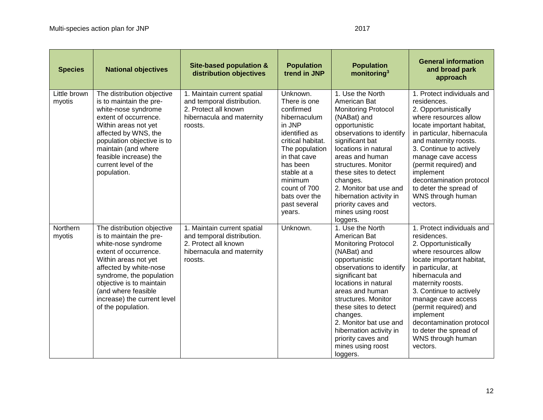| <b>Species</b>         | <b>National objectives</b>                                                                                                                                                                                                                                                                  | Site-based population &<br>distribution objectives                                                                        | <b>Population</b><br>trend in JNP                                                                                                                                                                                                        | <b>Population</b><br>monitoring <sup>3</sup>                                                                                                                                                                                                                                                                                                                     | <b>General information</b><br>and broad park<br>approach                                                                                                                                                                                                                                                                                                           |
|------------------------|---------------------------------------------------------------------------------------------------------------------------------------------------------------------------------------------------------------------------------------------------------------------------------------------|---------------------------------------------------------------------------------------------------------------------------|------------------------------------------------------------------------------------------------------------------------------------------------------------------------------------------------------------------------------------------|------------------------------------------------------------------------------------------------------------------------------------------------------------------------------------------------------------------------------------------------------------------------------------------------------------------------------------------------------------------|--------------------------------------------------------------------------------------------------------------------------------------------------------------------------------------------------------------------------------------------------------------------------------------------------------------------------------------------------------------------|
| Little brown<br>myotis | The distribution objective<br>is to maintain the pre-<br>white-nose syndrome<br>extent of occurrence.<br>Within areas not yet<br>affected by WNS, the<br>population objective is to<br>maintain (and where<br>feasible increase) the<br>current level of the<br>population.                 | 1. Maintain current spatial<br>and temporal distribution.<br>2. Protect all known<br>hibernacula and maternity<br>roosts. | Unknown.<br>There is one<br>confirmed<br>hibernaculum<br>in JNP<br>identified as<br>critical habitat.<br>The population<br>in that cave<br>has been<br>stable at a<br>minimum<br>count of 700<br>bats over the<br>past several<br>years. | 1. Use the North<br>American Bat<br><b>Monitoring Protocol</b><br>(NABat) and<br>opportunistic<br>observations to identify<br>significant bat<br>locations in natural<br>areas and human<br>structures. Monitor<br>these sites to detect<br>changes.<br>2. Monitor bat use and<br>hibernation activity in<br>priority caves and<br>mines using roost<br>loggers. | 1. Protect individuals and<br>residences.<br>2. Opportunistically<br>where resources allow<br>locate important habitat,<br>in particular, hibernacula<br>and maternity roosts.<br>3. Continue to actively<br>manage cave access<br>(permit required) and<br>implement<br>decontamination protocol<br>to deter the spread of<br>WNS through human<br>vectors.       |
| Northern<br>myotis     | The distribution objective<br>is to maintain the pre-<br>white-nose syndrome<br>extent of occurrence.<br>Within areas not yet<br>affected by white-nose<br>syndrome, the population<br>objective is to maintain<br>(and where feasible<br>increase) the current level<br>of the population. | 1. Maintain current spatial<br>and temporal distribution.<br>2. Protect all known<br>hibernacula and maternity<br>roosts. | Unknown.                                                                                                                                                                                                                                 | 1. Use the North<br>American Bat<br><b>Monitoring Protocol</b><br>(NABat) and<br>opportunistic<br>observations to identify<br>significant bat<br>locations in natural<br>areas and human<br>structures. Monitor<br>these sites to detect<br>changes.<br>2. Monitor bat use and<br>hibernation activity in<br>priority caves and<br>mines using roost<br>loggers. | 1. Protect individuals and<br>residences.<br>2. Opportunistically<br>where resources allow<br>locate important habitat,<br>in particular, at<br>hibernacula and<br>maternity roosts.<br>3. Continue to actively<br>manage cave access<br>(permit required) and<br>implement<br>decontamination protocol<br>to deter the spread of<br>WNS through human<br>vectors. |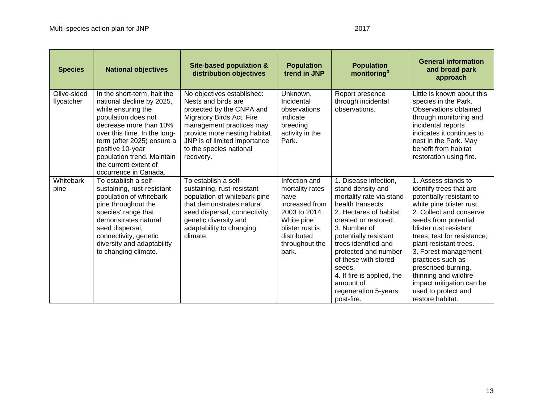| <b>Species</b>            | <b>National objectives</b>                                                                                                                                                                                                                                                                        | <b>Site-based population &amp;</b><br>distribution objectives                                                                                                                                                                                    | <b>Population</b><br>trend in JNP                                                                                                                      | <b>Population</b><br>monitoring <sup>3</sup>                                                                                                                                                                                                                                                                                                              | <b>General information</b><br>and broad park<br>approach                                                                                                                                                                                                                                                                                                                                                         |
|---------------------------|---------------------------------------------------------------------------------------------------------------------------------------------------------------------------------------------------------------------------------------------------------------------------------------------------|--------------------------------------------------------------------------------------------------------------------------------------------------------------------------------------------------------------------------------------------------|--------------------------------------------------------------------------------------------------------------------------------------------------------|-----------------------------------------------------------------------------------------------------------------------------------------------------------------------------------------------------------------------------------------------------------------------------------------------------------------------------------------------------------|------------------------------------------------------------------------------------------------------------------------------------------------------------------------------------------------------------------------------------------------------------------------------------------------------------------------------------------------------------------------------------------------------------------|
| Olive-sided<br>flycatcher | In the short-term, halt the<br>national decline by 2025,<br>while ensuring the<br>population does not<br>decrease more than 10%<br>over this time. In the long-<br>term (after 2025) ensure a<br>positive 10-year<br>population trend. Maintain<br>the current extent of<br>occurrence in Canada. | No objectives established:<br>Nests and birds are<br>protected by the CNPA and<br>Migratory Birds Act. Fire<br>management practices may<br>provide more nesting habitat.<br>JNP is of limited importance<br>to the species national<br>recovery. | Unknown.<br>Incidental<br>observations<br>indicate<br>breeding<br>activity in the<br>Park.                                                             | Report presence<br>through incidental<br>observations.                                                                                                                                                                                                                                                                                                    | Little is known about this<br>species in the Park.<br>Observations obtained<br>through monitoring and<br>incidental reports<br>indicates it continues to<br>nest in the Park. May<br>benefit from habitat<br>restoration using fire.                                                                                                                                                                             |
| Whitebark<br>pine         | To establish a self-<br>sustaining, rust-resistant<br>population of whitebark<br>pine throughout the<br>species' range that<br>demonstrates natural<br>seed dispersal,<br>connectivity, genetic<br>diversity and adaptability<br>to changing climate.                                             | To establish a self-<br>sustaining, rust-resistant<br>population of whitebark pine<br>that demonstrates natural<br>seed dispersal, connectivity,<br>genetic diversity and<br>adaptability to changing<br>climate.                                | Infection and<br>mortality rates<br>have<br>increased from<br>2003 to 2014.<br>White pine<br>blister rust is<br>distributed<br>throughout the<br>park. | 1. Disease infection,<br>stand density and<br>mortality rate via stand<br>health transects.<br>2. Hectares of habitat<br>created or restored.<br>3. Number of<br>potentially resistant<br>trees identified and<br>protected and number<br>of these with stored<br>seeds.<br>4. If fire is applied, the<br>amount of<br>regeneration 5-years<br>post-fire. | 1. Assess stands to<br>identify trees that are<br>potentially resistant to<br>white pine blister rust.<br>2. Collect and conserve<br>seeds from potential<br>blister rust resistant<br>trees; test for resistance;<br>plant resistant trees.<br>3. Forest management<br>practices such as<br>prescribed burning,<br>thinning and wildfire<br>impact mitigation can be<br>used to protect and<br>restore habitat. |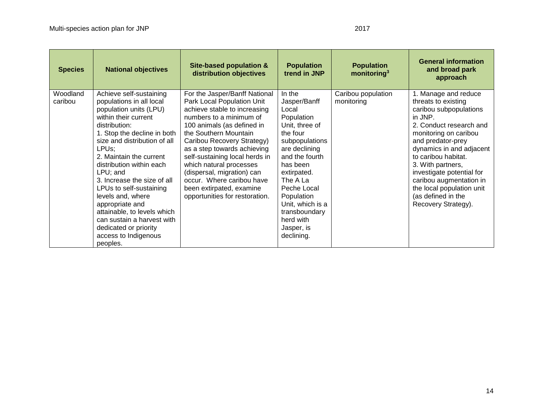<span id="page-19-0"></span>

| <b>Species</b>      | <b>National objectives</b>                                                                                                                                                                                                                                                                                                                                                                                                                                                                    | <b>Site-based population &amp;</b><br>distribution objectives                                                                                                                                                                                                                                                                                                                                                                    | <b>Population</b><br>trend in JNP                                                                                                                                                                                                                                                  | <b>Population</b><br>monitoring $3$ | <b>General information</b><br>and broad park<br>approach                                                                                                                                                                                                                                                                                                            |
|---------------------|-----------------------------------------------------------------------------------------------------------------------------------------------------------------------------------------------------------------------------------------------------------------------------------------------------------------------------------------------------------------------------------------------------------------------------------------------------------------------------------------------|----------------------------------------------------------------------------------------------------------------------------------------------------------------------------------------------------------------------------------------------------------------------------------------------------------------------------------------------------------------------------------------------------------------------------------|------------------------------------------------------------------------------------------------------------------------------------------------------------------------------------------------------------------------------------------------------------------------------------|-------------------------------------|---------------------------------------------------------------------------------------------------------------------------------------------------------------------------------------------------------------------------------------------------------------------------------------------------------------------------------------------------------------------|
| Woodland<br>caribou | Achieve self-sustaining<br>populations in all local<br>population units (LPU)<br>within their current<br>distribution:<br>1. Stop the decline in both<br>size and distribution of all<br>LPUs;<br>2. Maintain the current<br>distribution within each<br>LPU; and<br>3. Increase the size of all<br>LPUs to self-sustaining<br>levels and, where<br>appropriate and<br>attainable, to levels which<br>can sustain a harvest with<br>dedicated or priority<br>access to Indigenous<br>peoples. | For the Jasper/Banff National<br>Park Local Population Unit<br>achieve stable to increasing<br>numbers to a minimum of<br>100 animals (as defined in<br>the Southern Mountain<br>Caribou Recovery Strategy)<br>as a step towards achieving<br>self-sustaining local herds in<br>which natural processes<br>(dispersal, migration) can<br>occur. Where caribou have<br>been extirpated, examine<br>opportunities for restoration. | In the<br>Jasper/Banff<br>Local<br>Population<br>Unit, three of<br>the four<br>subpopulations<br>are declining<br>and the fourth<br>has been<br>extirpated.<br>The A La<br>Peche Local<br>Population<br>Unit, which is a<br>transboundary<br>herd with<br>Jasper, is<br>declining. | Caribou population<br>monitoring    | 1. Manage and reduce<br>threats to existing<br>caribou subpopulations<br>in JNP.<br>2. Conduct research and<br>monitoring on caribou<br>and predator-prey<br>dynamics in and adjacent<br>to caribou habitat.<br>3. With partners,<br>investigate potential for<br>caribou augmentation in<br>the local population unit<br>(as defined in the<br>Recovery Strategy). |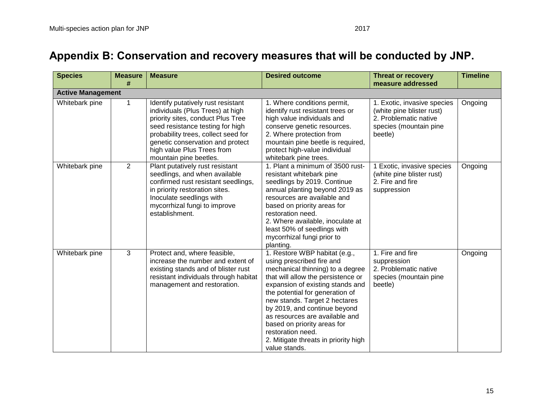| <b>Species</b>           | <b>Measure</b><br># | <b>Measure</b>                                                                                                                                                                                                                                                                     | <b>Desired outcome</b>                                                                                                                                                                                                                                                                                                                                                                                                      | <b>Threat or recovery</b><br>measure addressed                                                                         | <b>Timeline</b> |
|--------------------------|---------------------|------------------------------------------------------------------------------------------------------------------------------------------------------------------------------------------------------------------------------------------------------------------------------------|-----------------------------------------------------------------------------------------------------------------------------------------------------------------------------------------------------------------------------------------------------------------------------------------------------------------------------------------------------------------------------------------------------------------------------|------------------------------------------------------------------------------------------------------------------------|-----------------|
| <b>Active Management</b> |                     |                                                                                                                                                                                                                                                                                    |                                                                                                                                                                                                                                                                                                                                                                                                                             |                                                                                                                        |                 |
| Whitebark pine           | $\mathbf 1$         | Identify putatively rust resistant<br>individuals (Plus Trees) at high<br>priority sites, conduct Plus Tree<br>seed resistance testing for high<br>probability trees, collect seed for<br>genetic conservation and protect<br>high value Plus Trees from<br>mountain pine beetles. | 1. Where conditions permit,<br>identify rust resistant trees or<br>high value individuals and<br>conserve genetic resources.<br>2. Where protection from<br>mountain pine beetle is required,<br>protect high-value individual<br>whitebark pine trees.                                                                                                                                                                     | 1. Exotic, invasive species<br>(white pine blister rust)<br>2. Problematic native<br>species (mountain pine<br>beetle) | Ongoing         |
| Whitebark pine           | 2                   | Plant putatively rust resistant<br>seedlings, and when available<br>confirmed rust resistant seedlings,<br>in priority restoration sites.<br>Inoculate seedlings with<br>mycorrhizal fungi to improve<br>establishment.                                                            | 1. Plant a minimum of 3500 rust-<br>resistant whitebark pine<br>seedlings by 2019. Continue<br>annual planting beyond 2019 as<br>resources are available and<br>based on priority areas for<br>restoration need.<br>2. Where available, inoculate at<br>least 50% of seedlings with<br>mycorrhizal fungi prior to<br>planting.                                                                                              | 1 Exotic, invasive species<br>(white pine blister rust)<br>2. Fire and fire<br>suppression                             | Ongoing         |
| Whitebark pine           | 3                   | Protect and, where feasible,<br>increase the number and extent of<br>existing stands and of blister rust<br>resistant individuals through habitat<br>management and restoration.                                                                                                   | 1. Restore WBP habitat (e.g.,<br>using prescribed fire and<br>mechanical thinning) to a degree<br>that will allow the persistence or<br>expansion of existing stands and<br>the potential for generation of<br>new stands. Target 2 hectares<br>by 2019, and continue beyond<br>as resources are available and<br>based on priority areas for<br>restoration need.<br>2. Mitigate threats in priority high<br>value stands. | 1. Fire and fire<br>suppression<br>2. Problematic native<br>species (mountain pine<br>beetle)                          | Ongoing         |

# **Appendix B: Conservation and recovery measures that will be conducted by JNP.**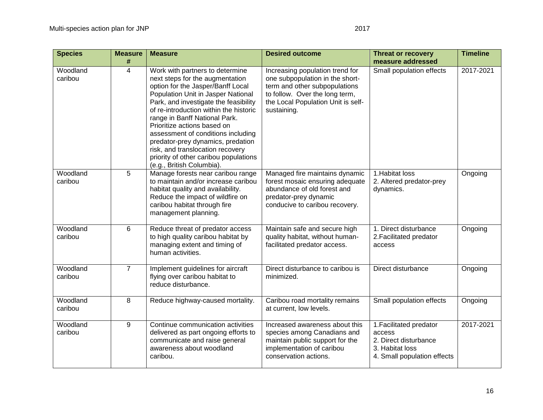| <b>Species</b>      | <b>Measure</b><br># | <b>Measure</b>                                                                                                                                                                                                                                                                                                                                                                                                                                                                        | <b>Desired outcome</b>                                                                                                                                                                     | <b>Threat or recovery</b><br>measure addressed                                                               | <b>Timeline</b> |
|---------------------|---------------------|---------------------------------------------------------------------------------------------------------------------------------------------------------------------------------------------------------------------------------------------------------------------------------------------------------------------------------------------------------------------------------------------------------------------------------------------------------------------------------------|--------------------------------------------------------------------------------------------------------------------------------------------------------------------------------------------|--------------------------------------------------------------------------------------------------------------|-----------------|
| Woodland<br>caribou | $\overline{4}$      | Work with partners to determine<br>next steps for the augmentation<br>option for the Jasper/Banff Local<br>Population Unit in Jasper National<br>Park, and investigate the feasibility<br>of re-introduction within the historic<br>range in Banff National Park.<br>Prioritize actions based on<br>assessment of conditions including<br>predator-prey dynamics, predation<br>risk, and translocation recovery<br>priority of other caribou populations<br>(e.g., British Columbia). | Increasing population trend for<br>one subpopulation in the short-<br>term and other subpopulations<br>to follow. Over the long term,<br>the Local Population Unit is self-<br>sustaining. | Small population effects                                                                                     | 2017-2021       |
| Woodland<br>caribou | 5                   | Manage forests near caribou range<br>to maintain and/or increase caribou<br>habitat quality and availability.<br>Reduce the impact of wildfire on<br>caribou habitat through fire<br>management planning.                                                                                                                                                                                                                                                                             | Managed fire maintains dynamic<br>forest mosaic ensuring adequate<br>abundance of old forest and<br>predator-prey dynamic<br>conducive to caribou recovery.                                | 1. Habitat loss<br>2. Altered predator-prey<br>dynamics.                                                     | Ongoing         |
| Woodland<br>caribou | 6                   | Reduce threat of predator access<br>to high quality caribou habitat by<br>managing extent and timing of<br>human activities.                                                                                                                                                                                                                                                                                                                                                          | Maintain safe and secure high<br>quality habitat, without human-<br>facilitated predator access.                                                                                           | 1. Direct disturbance<br>2. Facilitated predator<br>access                                                   | Ongoing         |
| Woodland<br>caribou | $\overline{7}$      | Implement guidelines for aircraft<br>flying over caribou habitat to<br>reduce disturbance.                                                                                                                                                                                                                                                                                                                                                                                            | Direct disturbance to caribou is<br>minimized.                                                                                                                                             | Direct disturbance                                                                                           | Ongoing         |
| Woodland<br>caribou | 8                   | Reduce highway-caused mortality.                                                                                                                                                                                                                                                                                                                                                                                                                                                      | Caribou road mortality remains<br>at current, low levels.                                                                                                                                  | Small population effects                                                                                     | Ongoing         |
| Woodland<br>caribou | 9                   | Continue communication activities<br>delivered as part ongoing efforts to<br>communicate and raise general<br>awareness about woodland<br>caribou.                                                                                                                                                                                                                                                                                                                                    | Increased awareness about this<br>species among Canadians and<br>maintain public support for the<br>implementation of caribou<br>conservation actions.                                     | 1. Facilitated predator<br>access<br>2. Direct disturbance<br>3. Habitat loss<br>4. Small population effects | 2017-2021       |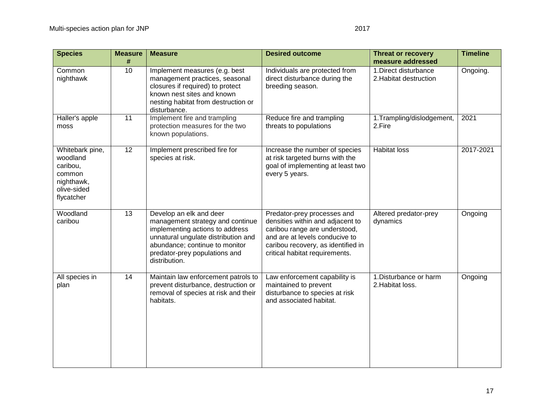| <b>Species</b>                                                                               | <b>Measure</b><br># | <b>Measure</b>                                                                                                                                                                                                            | <b>Desired outcome</b>                                                                                                                                                                                     | <b>Threat or recovery</b><br>measure addressed  | <b>Timeline</b> |
|----------------------------------------------------------------------------------------------|---------------------|---------------------------------------------------------------------------------------------------------------------------------------------------------------------------------------------------------------------------|------------------------------------------------------------------------------------------------------------------------------------------------------------------------------------------------------------|-------------------------------------------------|-----------------|
| Common<br>nighthawk                                                                          | 10                  | Implement measures (e.g. best<br>management practices, seasonal<br>closures if required) to protect<br>known nest sites and known<br>nesting habitat from destruction or<br>disturbance.                                  | Individuals are protected from<br>direct disturbance during the<br>breeding season.                                                                                                                        | 1. Direct disturbance<br>2. Habitat destruction | Ongoing.        |
| Haller's apple<br>moss                                                                       | 11                  | Implement fire and trampling<br>protection measures for the two<br>known populations.                                                                                                                                     | Reduce fire and trampling<br>threats to populations                                                                                                                                                        | 1. Trampling/dislodgement,<br>2.Fire            | 2021            |
| Whitebark pine,<br>woodland<br>caribou,<br>common<br>nighthawk,<br>olive-sided<br>flycatcher | 12                  | Implement prescribed fire for<br>species at risk.                                                                                                                                                                         | Increase the number of species<br>at risk targeted burns with the<br>goal of implementing at least two<br>every 5 years.                                                                                   | <b>Habitat loss</b>                             | 2017-2021       |
| Woodland<br>caribou                                                                          | 13                  | Develop an elk and deer<br>management strategy and continue<br>implementing actions to address<br>unnatural ungulate distribution and<br>abundance; continue to monitor<br>predator-prey populations and<br>distribution. | Predator-prey processes and<br>densities within and adjacent to<br>caribou range are understood,<br>and are at levels conducive to<br>caribou recovery, as identified in<br>critical habitat requirements. | Altered predator-prey<br>dynamics               | Ongoing         |
| All species in<br>plan                                                                       | 14                  | Maintain law enforcement patrols to<br>prevent disturbance, destruction or<br>removal of species at risk and their<br>habitats.                                                                                           | Law enforcement capability is<br>maintained to prevent<br>disturbance to species at risk<br>and associated habitat.                                                                                        | 1.Disturbance or harm<br>2. Habitat loss.       | Ongoing         |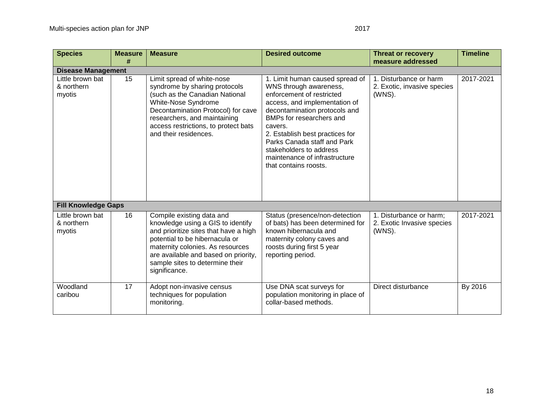| <b>Species</b>                                                        | <b>Measure</b><br># | <b>Measure</b>                                                                                                                                                                                                                                                            | <b>Desired outcome</b>                                                                                                                                                                                                                                                                                                                                 | <b>Threat or recovery</b><br>measure addressed                  | <b>Timeline</b> |
|-----------------------------------------------------------------------|---------------------|---------------------------------------------------------------------------------------------------------------------------------------------------------------------------------------------------------------------------------------------------------------------------|--------------------------------------------------------------------------------------------------------------------------------------------------------------------------------------------------------------------------------------------------------------------------------------------------------------------------------------------------------|-----------------------------------------------------------------|-----------------|
|                                                                       |                     |                                                                                                                                                                                                                                                                           |                                                                                                                                                                                                                                                                                                                                                        |                                                                 |                 |
| <b>Disease Management</b><br>Little brown bat<br>& northern<br>myotis | 15                  | Limit spread of white-nose<br>syndrome by sharing protocols<br>(such as the Canadian National<br>White-Nose Syndrome<br>Decontamination Protocol) for cave<br>researchers, and maintaining<br>access restrictions, to protect bats<br>and their residences.               | 1. Limit human caused spread of<br>WNS through awareness,<br>enforcement of restricted<br>access, and implementation of<br>decontamination protocols and<br>BMPs for researchers and<br>cavers.<br>2. Establish best practices for<br>Parks Canada staff and Park<br>stakeholders to address<br>maintenance of infrastructure<br>that contains roosts. | 1. Disturbance or harm<br>2. Exotic, invasive species<br>(WNS). | 2017-2021       |
| <b>Fill Knowledge Gaps</b>                                            |                     |                                                                                                                                                                                                                                                                           |                                                                                                                                                                                                                                                                                                                                                        |                                                                 |                 |
| Little brown bat<br>& northern<br>myotis                              | 16                  | Compile existing data and<br>knowledge using a GIS to identify<br>and prioritize sites that have a high<br>potential to be hibernacula or<br>maternity colonies. As resources<br>are available and based on priority,<br>sample sites to determine their<br>significance. | Status (presence/non-detection<br>of bats) has been determined for<br>known hibernacula and<br>maternity colony caves and<br>roosts during first 5 year<br>reporting period.                                                                                                                                                                           | 1. Disturbance or harm;<br>2. Exotic Invasive species<br>(WNS). | 2017-2021       |
| Woodland<br>caribou                                                   | 17                  | Adopt non-invasive census<br>techniques for population<br>monitoring.                                                                                                                                                                                                     | Use DNA scat surveys for<br>population monitoring in place of<br>collar-based methods.                                                                                                                                                                                                                                                                 | Direct disturbance                                              | By 2016         |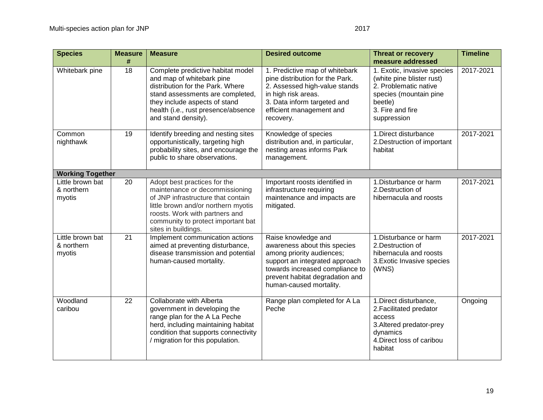| <b>Species</b>                           | <b>Measure</b><br># | <b>Measure</b>                                                                                                                                                                                                                             | <b>Desired outcome</b>                                                                                                                                                                                              | <b>Threat or recovery</b><br>measure addressed                                                                                                            | <b>Timeline</b> |
|------------------------------------------|---------------------|--------------------------------------------------------------------------------------------------------------------------------------------------------------------------------------------------------------------------------------------|---------------------------------------------------------------------------------------------------------------------------------------------------------------------------------------------------------------------|-----------------------------------------------------------------------------------------------------------------------------------------------------------|-----------------|
| Whitebark pine                           | 18                  | Complete predictive habitat model<br>and map of whitebark pine<br>distribution for the Park. Where<br>stand assessments are completed,<br>they include aspects of stand<br>health (i.e., rust presence/absence<br>and stand density).      | 1. Predictive map of whitebark<br>pine distribution for the Park.<br>2. Assessed high-value stands<br>in high risk areas.<br>3. Data inform targeted and<br>efficient management and<br>recovery.                   | 1. Exotic, invasive species<br>(white pine blister rust)<br>2. Problematic native<br>species (mountain pine<br>beetle)<br>3. Fire and fire<br>suppression | 2017-2021       |
| Common<br>nighthawk                      | 19                  | Identify breeding and nesting sites<br>opportunistically, targeting high<br>probability sites, and encourage the<br>public to share observations.                                                                                          | Knowledge of species<br>distribution and, in particular,<br>nesting areas informs Park<br>management.                                                                                                               | 1. Direct disturbance<br>2. Destruction of important<br>habitat                                                                                           | 2017-2021       |
| <b>Working Together</b>                  |                     |                                                                                                                                                                                                                                            |                                                                                                                                                                                                                     |                                                                                                                                                           |                 |
| Little brown bat<br>& northern<br>myotis | 20                  | Adopt best practices for the<br>maintenance or decommissioning<br>of JNP infrastructure that contain<br>little brown and/or northern myotis<br>roosts. Work with partners and<br>community to protect important bat<br>sites in buildings. | Important roosts identified in<br>infrastructure requiring<br>maintenance and impacts are<br>mitigated.                                                                                                             | 1. Disturbance or harm<br>2. Destruction of<br>hibernacula and roosts                                                                                     | 2017-2021       |
| Little brown bat<br>& northern<br>myotis | 21                  | Implement communication actions<br>aimed at preventing disturbance,<br>disease transmission and potential<br>human-caused mortality.                                                                                                       | Raise knowledge and<br>awareness about this species<br>among priority audiences;<br>support an integrated approach<br>towards increased compliance to<br>prevent habitat degradation and<br>human-caused mortality. | 1. Disturbance or harm<br>2. Destruction of<br>hibernacula and roosts<br>3. Exotic Invasive species<br>(WNS)                                              | 2017-2021       |
| Woodland<br>caribou                      | 22                  | Collaborate with Alberta<br>government in developing the<br>range plan for the A La Peche<br>herd, including maintaining habitat<br>condition that supports connectivity<br>/ migration for this population.                               | Range plan completed for A La<br>Peche                                                                                                                                                                              | 1. Direct disturbance,<br>2. Facilitated predator<br>access<br>3. Altered predator-prey<br>dynamics<br>4. Direct loss of caribou<br>habitat               | Ongoing         |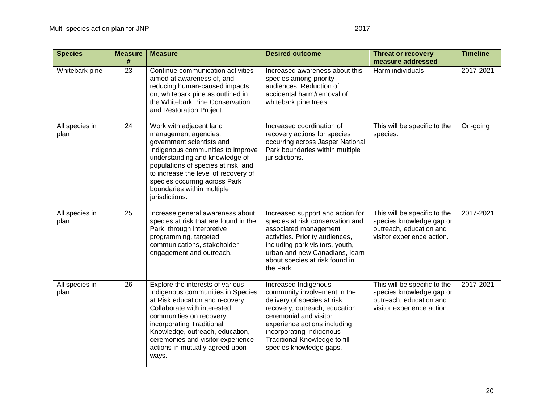| <b>Species</b>         | <b>Measure</b><br># | <b>Measure</b>                                                                                                                                                                                                                                                                                                       | <b>Desired outcome</b>                                                                                                                                                                                                                                                  | <b>Threat or recovery</b><br>measure addressed                                                                    | <b>Timeline</b> |
|------------------------|---------------------|----------------------------------------------------------------------------------------------------------------------------------------------------------------------------------------------------------------------------------------------------------------------------------------------------------------------|-------------------------------------------------------------------------------------------------------------------------------------------------------------------------------------------------------------------------------------------------------------------------|-------------------------------------------------------------------------------------------------------------------|-----------------|
| Whitebark pine         | 23                  | Continue communication activities<br>aimed at awareness of, and<br>reducing human-caused impacts<br>on, whitebark pine as outlined in<br>the Whitebark Pine Conservation<br>and Restoration Project.                                                                                                                 | Increased awareness about this<br>species among priority<br>audiences; Reduction of<br>accidental harm/removal of<br>whitebark pine trees.                                                                                                                              | Harm individuals                                                                                                  | 2017-2021       |
| All species in<br>plan | 24                  | Work with adjacent land<br>management agencies,<br>government scientists and<br>Indigenous communities to improve<br>understanding and knowledge of<br>populations of species at risk, and<br>to increase the level of recovery of<br>species occurring across Park<br>boundaries within multiple<br>jurisdictions.  | Increased coordination of<br>recovery actions for species<br>occurring across Jasper National<br>Park boundaries within multiple<br>jurisdictions.                                                                                                                      | This will be specific to the<br>species.                                                                          | On-going        |
| All species in<br>plan | 25                  | Increase general awareness about<br>species at risk that are found in the<br>Park, through interpretive<br>programming, targeted<br>communications, stakeholder<br>engagement and outreach.                                                                                                                          | Increased support and action for<br>species at risk conservation and<br>associated management<br>activities. Priority audiences,<br>including park visitors, youth,<br>urban and new Canadians, learn<br>about species at risk found in<br>the Park.                    | This will be specific to the<br>species knowledge gap or<br>outreach, education and<br>visitor experience action. | 2017-2021       |
| All species in<br>plan | 26                  | Explore the interests of various<br>Indigenous communities in Species<br>at Risk education and recovery.<br>Collaborate with interested<br>communities on recovery,<br>incorporating Traditional<br>Knowledge, outreach, education,<br>ceremonies and visitor experience<br>actions in mutually agreed upon<br>ways. | Increased Indigenous<br>community involvement in the<br>delivery of species at risk<br>recovery, outreach, education,<br>ceremonial and visitor<br>experience actions including<br>incorporating Indigenous<br>Traditional Knowledge to fill<br>species knowledge gaps. | This will be specific to the<br>species knowledge gap or<br>outreach, education and<br>visitor experience action. | 2017-2021       |